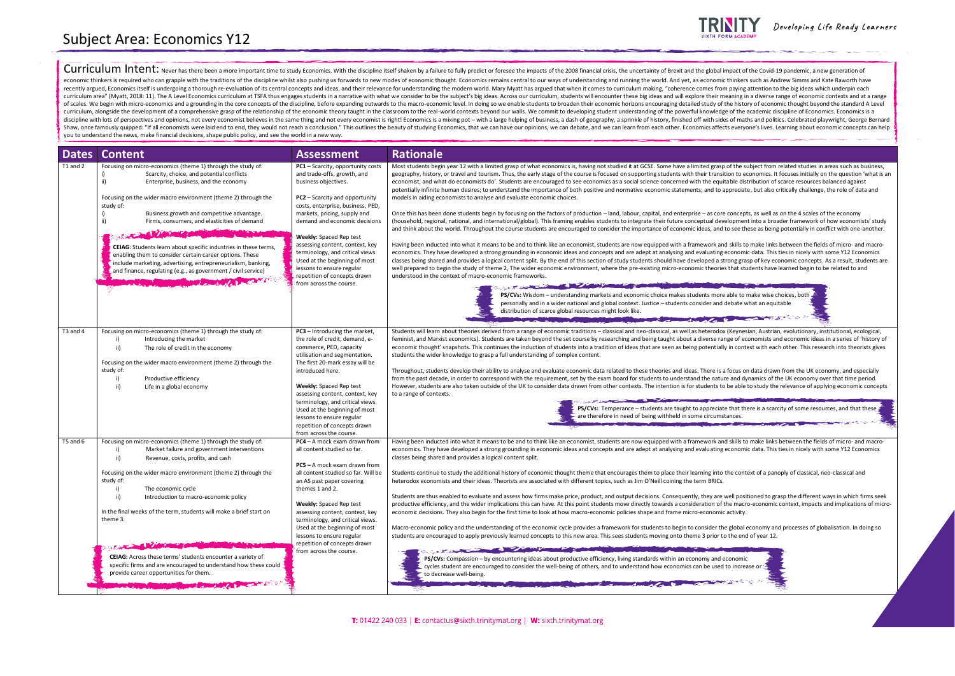Curriculum Intent: Never has there been a more important time to study Economics. With the discipline itself shaken by a failure to fully predict or foresee the impacts of the 2008 financial crisis, the uncertainty of Brex economic thinkers is required who can grapple with the traditions of the discipline whilst also pushing us forwards to new modes of economic thought. Economics remains central to our ways of understanding and running the w recently argued. Economics itself is undergoing a thorough re-evaluation of its central concepts and ideas, and their relevance for understanding the modern world. Mary Myatt has argued that when it comes to curriculum mak curriculum area" (Myatt, 2018: 11). The A Level Economics curriculum at TSFA thus engages students in a narrative with what we consider to be the subject's big ideas. Across our curriculum, students will encounter these bi of scales. We begin with micro-economics and a grounding in the core concepts of the discipline, before expanding outwards to the macro-economic level. In doing so we enable students to broaden their economic horizons enco curriculum, alongside the development of a comprehensive grasp of the relationship of the economic theory taught in the classroom to the real-world contexts beyond our walls. We commit to developing student understanding o discipline with lots of perspectives and opinions, not every economist believes in the same thing and not every economist is right! Economics is a mixing pot - with a large helping of business, a dash of geography, a sprin Shaw, once famously quipped: "If all economists were laid end to end, they would not reach a conclusion." This outlines the beauty of studying Economics, that we can have our opinions, we can debate, and we can learn from you to understand the news, make financial decisions, shape public policy, and see the world in a new way.

| <b>Dates</b> | <b>Content</b>                                                                                                                                                                                                                                                                                                                                                                                                                                                                                                                                                                                                                                                                                                                                                                                                                                         | <b>Assessment</b>                                                                                                                                                                                                                                                                                                                                                                                                                                           | <b>Rationale</b>                                                                                                                                                                                                                                                                                                                                                                                                                                                                                                                                                                                                                                                                                                                                                                                                                                                                                                                                                                                                                                                                                                                                                                                                                                                                                                                                                                                                                                                                                                                                                                                                                                                                                                                                                                                                                                                                                                                                                                                                                                                                                                                                                              |
|--------------|--------------------------------------------------------------------------------------------------------------------------------------------------------------------------------------------------------------------------------------------------------------------------------------------------------------------------------------------------------------------------------------------------------------------------------------------------------------------------------------------------------------------------------------------------------------------------------------------------------------------------------------------------------------------------------------------------------------------------------------------------------------------------------------------------------------------------------------------------------|-------------------------------------------------------------------------------------------------------------------------------------------------------------------------------------------------------------------------------------------------------------------------------------------------------------------------------------------------------------------------------------------------------------------------------------------------------------|-------------------------------------------------------------------------------------------------------------------------------------------------------------------------------------------------------------------------------------------------------------------------------------------------------------------------------------------------------------------------------------------------------------------------------------------------------------------------------------------------------------------------------------------------------------------------------------------------------------------------------------------------------------------------------------------------------------------------------------------------------------------------------------------------------------------------------------------------------------------------------------------------------------------------------------------------------------------------------------------------------------------------------------------------------------------------------------------------------------------------------------------------------------------------------------------------------------------------------------------------------------------------------------------------------------------------------------------------------------------------------------------------------------------------------------------------------------------------------------------------------------------------------------------------------------------------------------------------------------------------------------------------------------------------------------------------------------------------------------------------------------------------------------------------------------------------------------------------------------------------------------------------------------------------------------------------------------------------------------------------------------------------------------------------------------------------------------------------------------------------------------------------------------------------------|
| T1 and 2     | Focusing on micro-economics (theme 1) through the study of:<br>Scarcity, choice, and potential conflicts<br>ii)<br>Enterprise, business, and the economy<br>Focusing on the wider macro environment (theme 2) through the<br>study of:<br>Business growth and competitive advantage.<br>ii)<br>Firms, consumers, and elasticities of demand<br><b>CEIAG</b> : Students learn about specific industries in these terms,<br>enabling them to consider certain career options. These<br>include marketing, advertising, entrepreneurialism, banking,<br>and finance, regulating (e.g., as government / civil service)<br><b>Machine Communication of the Communication</b>                                                                                                                                                                                | PC1 - Scarcity, opportunity costs<br>and trade-offs, growth, and<br>business objectives.<br>PC2 - Scarcity and opportunity<br>costs, enterprise, business, PED,<br>markets, pricing, supply and<br>demand and economic decisions<br>Weekly: Spaced Rep test<br>assessing content, context, key<br>terminology, and critical views.<br>Used at the beginning of most<br>lessons to ensure regular<br>repetition of concepts drawn<br>from across the course. | Most students begin year 12 with a limited grasp of what economics is, having not studied it at GCSE. Some have a limited grasp of the subject<br>geography, history, or travel and tourism. Thus, the early stage of the course is focused on supporting students with their transition to econon<br>economist, and what do economists do'. Students are encouraged to see economics as a social science concerned with the equitable distributi<br>potentially infinite human desires; to understand the importance of both positive and normative economic statements; and to appreciate, but<br>models in aiding economists to analyse and evaluate economic choices.<br>Once this has been done students begin by focusing on the factors of production – land, labour, capital, and enterprise – as core concepts, as v<br>(household, regional, national, and international/global). This framing enables students to integrate their future conceptual development into<br>and think about the world. Throughout the course students are encouraged to consider the importance of economic ideas, and to see these as<br>Having been inducted into what it means to be and to think like an economist, students are now equipped with a framework and skills to mak<br>economics. They have developed a strong grounding in economic ideas and concepts and are adept at analysing and evaluating economic data<br>classes being shared and provides a logical content split. By the end of this section of study students should have developed a strong grasp of I<br>well prepared to begin the study of theme 2, The wider economic environment, where the pre-existing micro-economic theories that students<br>understood in the context of macro-economic frameworks.<br>of the contract of the contract of the contract of the contract of the contract of the contract of the contract of<br>PS/CVs: Wisdom - understanding markets and economic choice makes students more able to make<br>personally and in a wider national and global context. Justice - students consider and debate what a<br>distribution of scarce global resources might look like. |
| T3 and 4     | Focusing on micro-economics (theme 1) through the study of:<br>Introducing the market<br>i)<br>ii)<br>The role of credit in the economy<br>Focusing on the wider macro environment (theme 2) through the<br>study of:<br>Productive efficiency<br>ii)<br>Life in a global economy                                                                                                                                                                                                                                                                                                                                                                                                                                                                                                                                                                      | PC3 - Introducing the market,<br>the role of credit, demand, e-<br>commerce, PED, capacity<br>utilisation and segmentation.<br>The first 20-mark essay will be<br>introduced here.<br><b>Weekly:</b> Spaced Rep test<br>assessing content, context, key<br>terminology, and critical views.<br>Used at the beginning of most<br>lessons to ensure regular<br>repetition of concepts drawn<br>from across the course.                                        | Students will learn about theories derived from a range of economic traditions – classical and neo-classical, as well as heterodox (Keynesian, A<br>feminist, and Marxist economics). Students are taken beyond the set course by researching and being taught about a diverse range of econom<br>economic thought' snapshots. This continues the induction of students into a tradition of ideas that are seen as being potentially in contest wi<br>students the wider knowledge to grasp a full understanding of complex content.<br>Throughout, students develop their ability to analyse and evaluate economic data related to these theories and ideas. There is a focus on data<br>from the past decade, in order to correspond with the requirement, set by the exam board for students to understand the nature and dynamid<br>However, students are also taken outside of the UK to consider data drawn from other contexts. The intention is for students to be able to stu<br>to a range of contexts.<br><b>All Control of Control of the Control</b><br>PS/CVs: Temperance - students are taught to appreciate that there is<br>are therefore in need of being withheld in some circumstances.                                                                                                                                                                                                                                                                                                                                                                                                                                                                                                                                                                                                                                                                                                                                                                                                                                                                                                                                                                   |
| T5 and 6     | Focusing on micro-economics (theme 1) through the study of:<br>Market failure and government interventions<br>i)<br>ii)<br>Revenue, costs, profits, and cash<br>Focusing on the wider macro environment (theme 2) through the<br>study of:<br>The economic cycle<br>i)<br>ii)<br>Introduction to macro-economic policy<br>In the final weeks of the term, students will make a brief start on<br>theme 3.<br>The Committee of the Committee of the Committee of the Committee of the Committee of the Committee of the Committee of the Committee of the Committee of the Committee of the Committee of the Committee of the Committee of t<br>CEIAG: Across these terms' students encounter a variety of<br>specific firms and are encouraged to understand how these could<br>provide career opportunities for them.<br><b>MARINE COMMUNICATIONS</b> | <b>PC4</b> – A mock exam drawn from<br>all content studied so far.<br>$PC5 - A$ mock exam drawn from<br>all content studied so far. Will be<br>an AS past paper covering<br>themes 1 and 2.<br>Weekly: Spaced Rep test<br>assessing content, context, key<br>terminology, and critical views.<br>Used at the beginning of most<br>lessons to ensure regular<br>repetition of concepts drawn<br>from across the course.                                      | Having been inducted into what it means to be and to think like an economist, students are now equipped with a framework and skills to mak<br>economics. They have developed a strong grounding in economic ideas and concepts and are adept at analysing and evaluating economic data<br>classes being shared and provides a logical content split.<br>Students continue to study the additional history of economic thought theme that encourages them to place their learning into the context of<br>heterodox economists and their ideas. Theorists are associated with different topics, such as Jim O'Neill coining the term BRICs.<br>Students are thus enabled to evaluate and assess how firms make price, product, and output decisions. Consequently, they are well positioned<br>productive efficiency, and the wider implications this can have. At this point students move directly towards a consideration of the macro-eco<br>economic decisions. They also begin for the first time to look at how macro-economic policies shape and frame micro-economic activity.<br>Macro-economic policy and the understanding of the economic cycle provides a framework for students to begin to consider the global econo<br>students are encouraged to apply previously learned concepts to this new area. This sees students moving onto theme 3 prior to the end of ye<br>The Contract of the Contract of the Contract of the Contract of the Contract of<br>PS/CVs: Compassion - by encountering ideas about productive efficiency, living standards within an economy and economic<br>cycles student are encouraged to consider the well-being of others, and to understand how economics can be used to increase or<br>to decrease well-being.                                                                                                                                                                                                                                                                                                                                                                                                                 |



Developing Life Ready Learners

sp of the subject from related studies in areas such as business, sition to economics, It focuses initially on the question 'what is an economists dots dote that does are encources do and a social spainst potential infinite human desires; the importance of both positions; and importance induced and to appreciate, but also critically challenge, the role of data and

re concepts, as well as on the 4 scales of the economy evelopment into a broader framework of how economists' study ad to see these as being potentially in conflict with one-another.

Ind skills to make links between the fields of micro- and macroe economic data. This ties in nicely with some Y12 Economics and are adeptition strong grasp of key economic concepts. As a result, students are ies that students have learned begin to be related to and

re able to make wise choices, both l debate what an equitable

**DESCRIPTION OF STREET** 

ox (Keynesian, Austrian, evolutionary, institutional, ecological, range of economists and economic ideas in a series of 'history of ally in contest with each other. This research into theorists gives

Itherate ability ability to analyse analyse and expected to analyse and ideas. The seconomic and ideas. The seconomy, and especially from the and dynamics of the UK economy over that time period. to be able to study the relevance of applying economic concepts.

**Readler that there is a scarcity of some resources, and that these**  $\frac{1}{2}$ nstances.

Ind skills to make links between the fields of micro- and macrong economic data. This ties in nicely with some Y12 Economics

the context of a panoply of classical, neo-classical and

of thus inducted to evaluate and assessions well positioned to evalue decisions. Consequently, well positioned the macro-economic context, impacts and implications of micro-

he global economy and processes of globalisation. In doing so to the end of year 12.